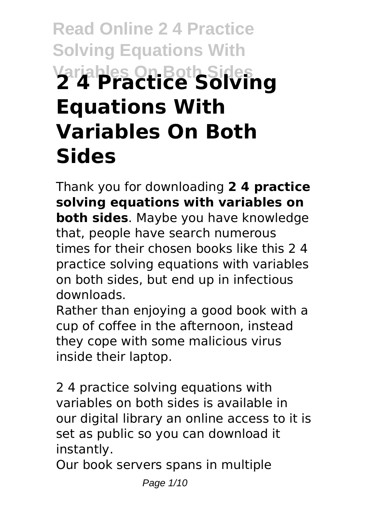# **Read Online 2 4 Practice Solving Equations With Variables On Both Sides 2 4 Practice Solving Equations With Variables On Both Sides**

Thank you for downloading **2 4 practice solving equations with variables on both sides**. Maybe you have knowledge that, people have search numerous times for their chosen books like this 2 4 practice solving equations with variables on both sides, but end up in infectious downloads.

Rather than enjoying a good book with a cup of coffee in the afternoon, instead they cope with some malicious virus inside their laptop.

2 4 practice solving equations with variables on both sides is available in our digital library an online access to it is set as public so you can download it instantly.

Our book servers spans in multiple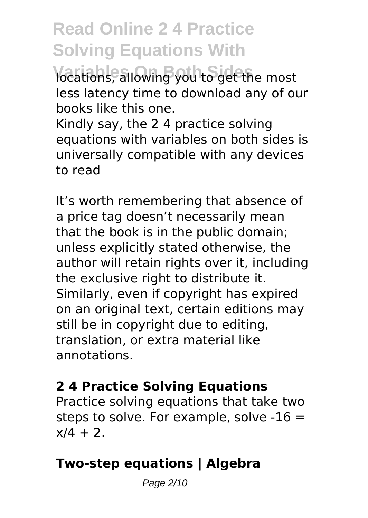**Vocations, allowing you to get the most** less latency time to download any of our books like this one.

Kindly say, the 2 4 practice solving equations with variables on both sides is universally compatible with any devices to read

It's worth remembering that absence of a price tag doesn't necessarily mean that the book is in the public domain; unless explicitly stated otherwise, the author will retain rights over it, including the exclusive right to distribute it. Similarly, even if copyright has expired on an original text, certain editions may still be in copyright due to editing, translation, or extra material like annotations.

#### **2 4 Practice Solving Equations**

Practice solving equations that take two steps to solve. For example, solve -16 =  $x/4 + 2$ .

### **Two-step equations | Algebra**

Page 2/10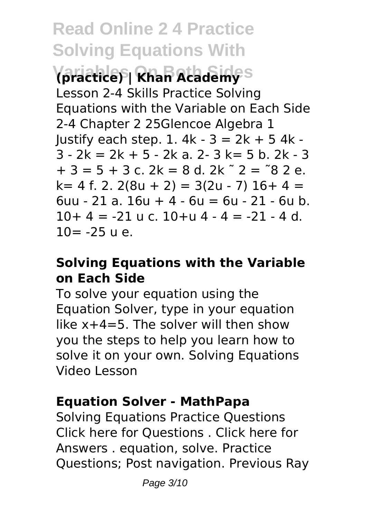**Variables On Both Sides (practice) | Khan Academy** Lesson 2-4 Skills Practice Solving Equations with the Variable on Each Side 2-4 Chapter 2 25Glencoe Algebra 1 Justify each step. 1. 4k - 3 = 2k + 5 4k -  $3 - 2k = 2k + 5 - 2k$  a.  $2 - 3k = 5$  b.  $2k - 3$  $+ 3 = 5 + 3$  c. 2k = 8 d. 2k  $\degree$  2 =  $\degree$ 8 2 e.  $k= 4$  f. 2. 2(8u + 2) = 3(2u - 7) 16 + 4 = 6uu - 21 a. 16u + 4 - 6u = 6u - 21 - 6u b.  $10+4 = -21$  u c.  $10+u 4 - 4 = -21 - 4$  d.  $10 = -25$  u e.

#### **Solving Equations with the Variable on Each Side**

To solve your equation using the Equation Solver, type in your equation like x+4=5. The solver will then show you the steps to help you learn how to solve it on your own. Solving Equations Video Lesson

#### **Equation Solver - MathPapa**

Solving Equations Practice Questions Click here for Questions . Click here for Answers . equation, solve. Practice Questions; Post navigation. Previous Ray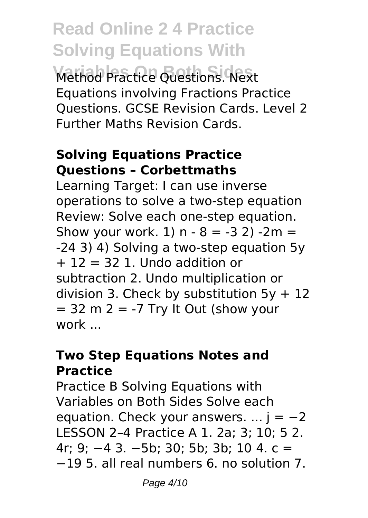**Read Online 2 4 Practice Solving Equations With Variables On Both Sides** Method Practice Questions. Next Equations involving Fractions Practice Questions. GCSE Revision Cards. Level 2 Further Maths Revision Cards.

#### **Solving Equations Practice Questions – Corbettmaths**

Learning Target: I can use inverse operations to solve a two-step equation Review: Solve each one-step equation. Show your work.  $1) n - 8 = -3 2$ )  $-2m =$ -24 3) 4) Solving a two-step equation 5y  $+ 12 = 32$  1. Undo addition or subtraction 2. Undo multiplication or division 3. Check by substitution  $5y + 12$  $= 32$  m  $2 = -7$  Try It Out (show your work ...

#### **Two Step Equations Notes and Practice**

Practice B Solving Equations with Variables on Both Sides Solve each equation. Check your answers.  $\dots$  j =  $-2$ LESSON 2–4 Practice A 1. 2a; 3; 10; 5 2. 4r; 9; −4 3. −5b; 30; 5b; 3b; 10 4. c = −19 5. all real numbers 6. no solution 7.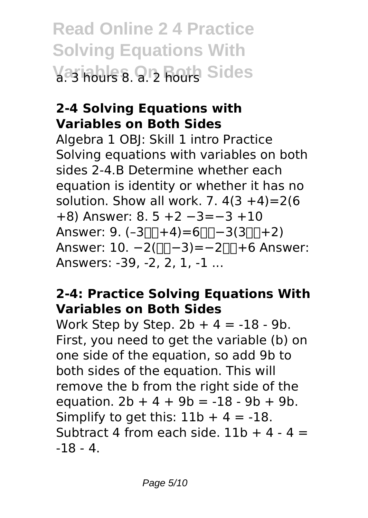**Read Online 2 4 Practice Solving Equations With Variables 9. 2 hours Sides** 

#### **2-4 Solving Equations with Variables on Both Sides**

Algebra 1 OBJ: Skill 1 intro Practice Solving equations with variables on both sides 2-4.B Determine whether each equation is identity or whether it has no solution. Show all work. 7.  $4(3 + 4) = 2(6)$ +8) Answer: 8. 5 +2 −3=−3 +10 Answer:  $9. (-3\Box\Box + 4) = 6\Box\Box - 3(3\Box\Box + 2)$ Answer: 10. -2( $\Box$  -3) = -2 $\Box$  +6 Answer: Answers: -39, -2, 2, 1, -1 ...

#### **2-4: Practice Solving Equations With Variables on Both Sides**

Work Step by Step.  $2b + 4 = -18 - 9b$ . First, you need to get the variable (b) on one side of the equation, so add 9b to both sides of the equation. This will remove the b from the right side of the equation.  $2b + 4 + 9b = -18 - 9b + 9b$ . Simplify to get this:  $11b + 4 = -18$ . Subtract 4 from each side.  $11b + 4 - 4 =$ -18 - 4.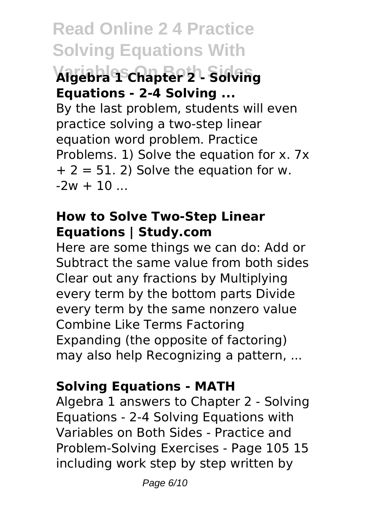### **Variables On Both Sides Algebra 1 Chapter 2 - Solving Equations - 2-4 Solving ...**

By the last problem, students will even practice solving a two-step linear equation word problem. Practice Problems. 1) Solve the equation for x. 7x  $+ 2 = 51$ . 2) Solve the equation for w.  $-2w + 10$ 

#### **How to Solve Two-Step Linear Equations | Study.com**

Here are some things we can do: Add or Subtract the same value from both sides Clear out any fractions by Multiplying every term by the bottom parts Divide every term by the same nonzero value Combine Like Terms Factoring Expanding (the opposite of factoring) may also help Recognizing a pattern, ...

### **Solving Equations - MATH**

Algebra 1 answers to Chapter 2 - Solving Equations - 2-4 Solving Equations with Variables on Both Sides - Practice and Problem-Solving Exercises - Page 105 15 including work step by step written by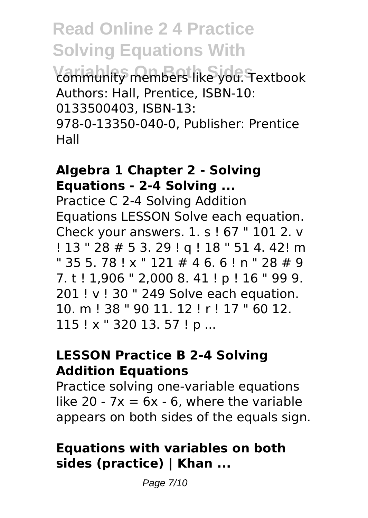**Variables On Both Sides** community members like you. Textbook Authors: Hall, Prentice, ISBN-10: 0133500403, ISBN-13: 978-0-13350-040-0, Publisher: Prentice Hall

#### **Algebra 1 Chapter 2 - Solving Equations - 2-4 Solving ...**

Practice C 2-4 Solving Addition Equations LESSON Solve each equation. Check your answers. 1. s ! 67 " 101 2. v ! 13 " 28 # 5 3. 29 ! q ! 18 " 51 4. 42! m  $" 35 5. 78 ! x" 121 # 46. 6 ! n" 28 # 9$ 7. t ! 1,906 " 2,000 8. 41 ! p ! 16 " 99 9. 201 ! v ! 30 " 249 Solve each equation. 10. m ! 38 " 90 11. 12 ! r ! 17 " 60 12. 115 ! x " 320 13. 57 ! p ...

#### **LESSON Practice B 2-4 Solving Addition Equations**

Practice solving one-variable equations like 20 -  $7x = 6x - 6$ , where the variable appears on both sides of the equals sign.

#### **Equations with variables on both sides (practice) | Khan ...**

Page 7/10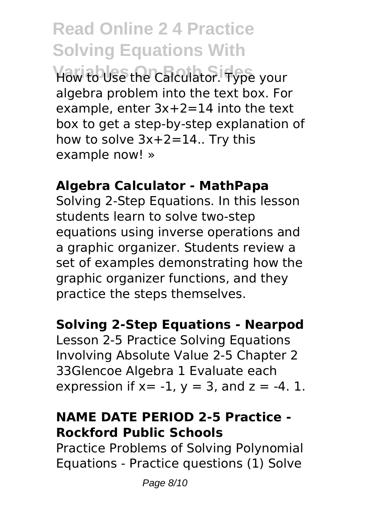**Variables On Both Sides** How to Use the Calculator. Type your algebra problem into the text box. For example, enter 3x+2=14 into the text box to get a step-by-step explanation of how to solve 3x+2=14.. Try this example now! »

#### **Algebra Calculator - MathPapa**

Solving 2-Step Equations. In this lesson students learn to solve two-step equations using inverse operations and a graphic organizer. Students review a set of examples demonstrating how the graphic organizer functions, and they practice the steps themselves.

#### **Solving 2-Step Equations - Nearpod**

Lesson 2-5 Practice Solving Equations Involving Absolute Value 2-5 Chapter 2 33Glencoe Algebra 1 Evaluate each expression if  $x = -1$ ,  $y = 3$ , and  $z = -4$ . 1.

#### **NAME DATE PERIOD 2-5 Practice - Rockford Public Schools**

Practice Problems of Solving Polynomial Equations - Practice questions (1) Solve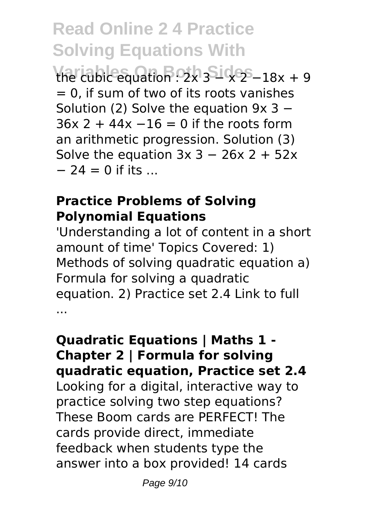**Read Online 2 4 Practice Solving Equations With Viariable equation : 2x 3 5 1 x 2 − 18x + 9**  $= 0$ , if sum of two of its roots vanishes Solution (2) Solve the equation 9x 3 −  $36x$  2 + 44x  $-16 = 0$  if the roots form an arithmetic progression. Solution (3)

Solve the equation  $3x$  3 − 26x 2 + 52x

 $-24 = 0$  if its ...

#### **Practice Problems of Solving Polynomial Equations**

'Understanding a lot of content in a short amount of time' Topics Covered: 1) Methods of solving quadratic equation a) Formula for solving a quadratic equation. 2) Practice set 2.4 Link to full ...

#### **Quadratic Equations | Maths 1 - Chapter 2 | Formula for solving quadratic equation, Practice set 2.4** Looking for a digital, interactive way to practice solving two step equations? These Boom cards are PERFECT! The cards provide direct, immediate feedback when students type the answer into a box provided! 14 cards